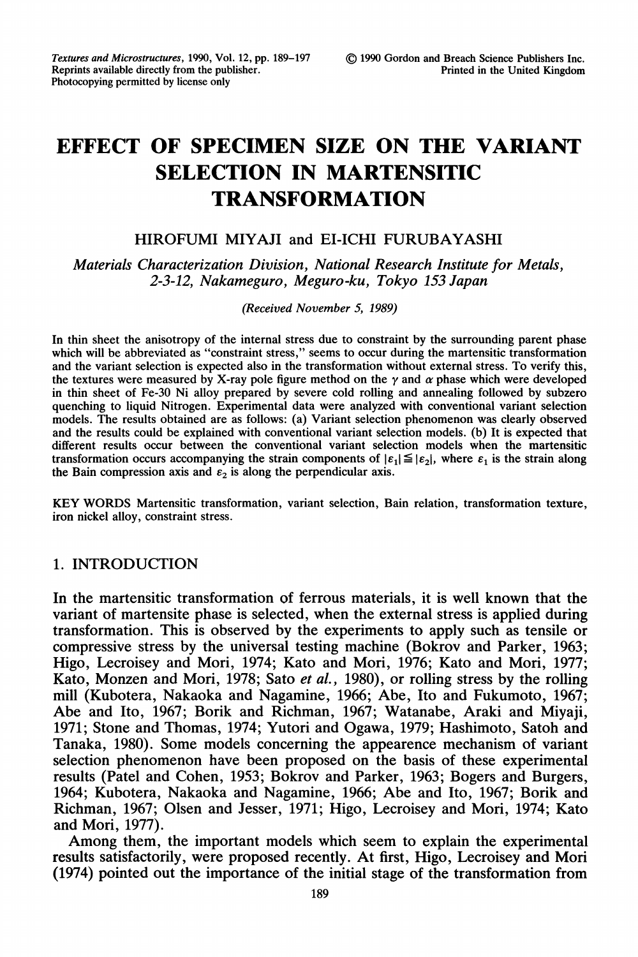# EFFECT OF SPECIMEN SIZE ON THE VARIANT SELECTION IN MARTENSITIC TRANSFORMATION

# HIROFUMI MIYAJI and EI-ICHI FURUBAYASHI

Materials Characterization Division, National Research Institute for Metals, 2-3-12, Nakameguro, Meguro-ku, Tokyo 153 Japan

(Received November 5, 1989)

In thin sheet the anisotropy of the internal stress due to constraint by the surrounding parent phase which will be abbreviated as "constraint stress," seems to occur during the martensitic transformation and the variant selection is expected also in the transformation without external stress. To verify this, the textures were measured by X-ray pole figure method on the  $\gamma$  and  $\alpha$  phase which were developed in thin sheet of Fe-30 Ni alloy prepared by severe cold rolling and annealing followed by subzero quenching to liquid Nitrogen. Experimental data were analyzed with conventional variant selection models. The results obtained are as follows: (a) Variant selection phenomenon was clearly observed and the results could be explained with conventional variant selection models. (b) It is expected that different results occur between the conventional variant selection models when the martensitic transformation occurs accompanying the strain components of  $|\varepsilon_1| \leq |\varepsilon_2|$ , where  $\varepsilon_1$  is the strain along the Bain compression axis and  $\varepsilon_2$  is along the perpendicular axis.

KEY WORDS Martensitic transformation, variant selection, Bain relation, transformation texture, iron nickel alloy, constraint stress.

## 1. INTRODUCTION

In the martensitic transformation of ferrous materials, it is well known that the variant of martensite phase is selected, when the external stress is applied during transformation. This is observed by the experiments to apply such as tensile or compressive stress by the universal testing machine (Bokrov and Parker, 1963; Higo, Lecroisey and Mori, 1974; Kato and Mori, 1976; Kato and Mori, 1977; Kato, Monzen and Mori, 1978; Sato et al., 1980), or rolling stress by the rolling mill (Kubotera, Nakaoka and Nagamine, 1966; Abe, Ito and Fukumoto, 1967; Abe and Ito, 1967; Borik and Richman, 1967; Watanabe, Araki and Miyaji, 1971; Stone and Thomas, 1974; Yutori and Ogawa, 1979; Hashimoto, Satoh and Tanaka, 1980). Some models concerning the appearence mechanism of variant selection phenomenon have been proposed on the basis of these experimental results (Patel and Cohen, 1953; Bokrov and Parker, 1963; Bogers and Burgers, 1964; Kubotera, Nakaoka and Nagamine, 1966; Abe and Ito, 1967; Borik and Richman, 1967; Olsen and Jesser, 1971; Higo, Lecroisey and Mori, 1974; Kato and Mori, 1977).

Among them, the important models which seem to explain the experimental results satisfactorily, were proposed recently. At first, Higo, Lecroisey and Mori (1974) pointed out the importance of the initial stage of the transformation from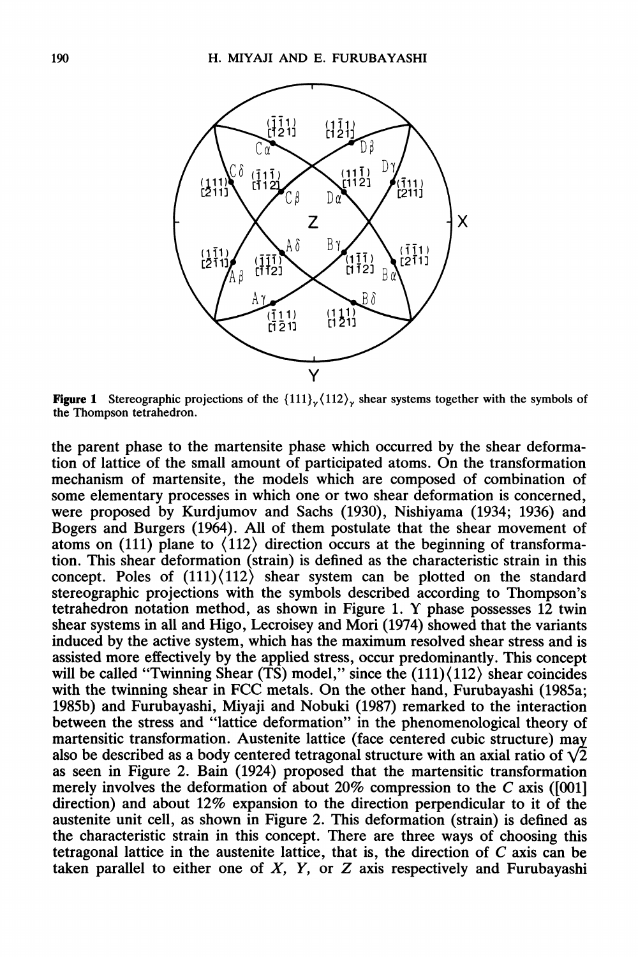

**Figure 1** Stereographic projections of the  $\{111\}\times\{112\}\times\{112\}$  shear systems together with the symbols of the Thompson tetrahedron.

the parent phase to the martensite phase which occurred by the shear deformation of lattice of the small amount of participated atoms. On the transformation mechanism of martensite, the models which are composed of combination of some elementary processes in which one or two shear deformation is concerned, were proposed by Kurdjumov and Sachs (1930), Nishiyama (1934; 1936) and Bogers and Burgers (1964). All of them postulate that the shear movement of atoms on (111) plane to  $\langle 112 \rangle$  direction occurs at the beginning of transformation. This shear deformation (strain) is defined as the characteristic strain in this concept. Poles of  $(111)(112)$  shear system can be plotted on the standard stereographic projections with the symbols described according to Thompson's tetrahedron notation method, as shown in Figure 1. Y phase possesses <sup>12</sup> twin shear systems in all and Higo, Lecroisey and Mori (1974) showed that the variants induced by the active system, which has the maximum resolved shear stress and is assisted more effectively by the applied stress, occur predominantly. This concept will be called "Twinning Shear (TS) model," since the  $(111)\langle112\rangle$  shear coincides with the twinning shear in FCC metals. On the other hand, Furubayashi (1985a; 1985b) and Furubayashi, Miyaji and Nobuki (1987) remarked to the interaction between the stress and "lattice deformation" in the phenomenological theory of martensitic transformation. Austenite lattice (face centered cubic structure) ma also be described as a body centered tetragonal structure with an axial ratio of  $\sqrt{2}$ as seen in Figure 2. Bain (1924) proposed that the martensitic transformation merely involves the deformation of about 20% compression to the C axis ([001] direction) and about 12% expansion to the direction perpendicular to it of the austenite unit cell, as shown in Figure 2. This deformation (strain) is defined as the characteristic strain in this concept. There are three ways of choosing this tetragonal lattice in the austenite lattice, that is, the direction of C axis can be taken parallel to either one of  $X$ ,  $Y$ , or  $Z$  axis respectively and Furubayashi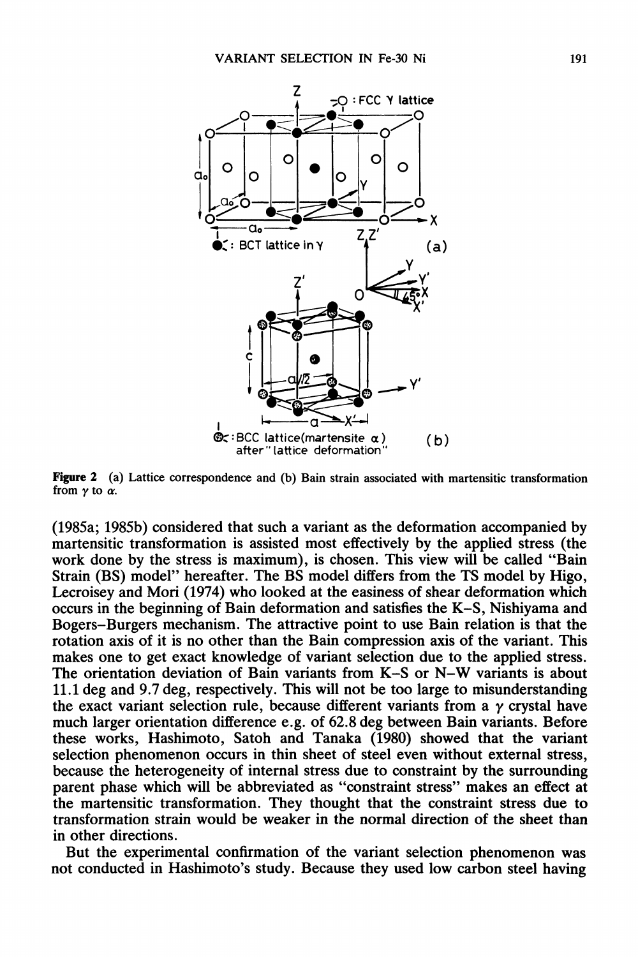

Figure 2 (a) Lattice correspondence and (b) Bain strain associated with martensitic transformation from  $\gamma$  to  $\alpha$ .

(1985a; 1985b) considered that such a variant as the deformation accompanied by martensitic transformation is assisted most effectively by the applied stress (the work done by the stress is maximum), is chosen. This view will be called "Bain Strain (BS) model" hereafter. The BS model differs from the TS model by Higo, Lecroisey and Mori (1974) who looked at the easiness of shear deformation which occurs in the beginning of Bain deformation and satisfies the K-S, Nishiyama and Bogers-Burgers mechanism. The attractive point to use Bain relation is that the rotation axis of it is no other than the Bain compression axis of the variant. This makes one to get exact knowledge of variant selection due to the applied stress. The orientation deviation of Bain variants from K-S or N-W variants is about 11.1 deg and 9.7 deg, respectively. This will not be too large to misunderstanding the exact variant selection rule, because different variants from a  $\gamma$  crystal have much larger orientation difference e.g. of 62.8 deg between Bain variants. Before these works, Hashimoto, Satoh and Tanaka (1980) showed that the variant selection phenomenon occurs in thin sheet of steel even without external stress, because the heterogeneity of internal stress due to constraint by the surrounding parent phase which will be abbreviated as "constraint stress" makes an effect at the martensitic transformation. They thought that the constraint stress due to transformation strain would be weaker in the normal direction of the sheet than in other directions.

But the experimental confirmation of the variant selection phenomenon was not conducted in Hashimoto's study. Because they used low carbon steel having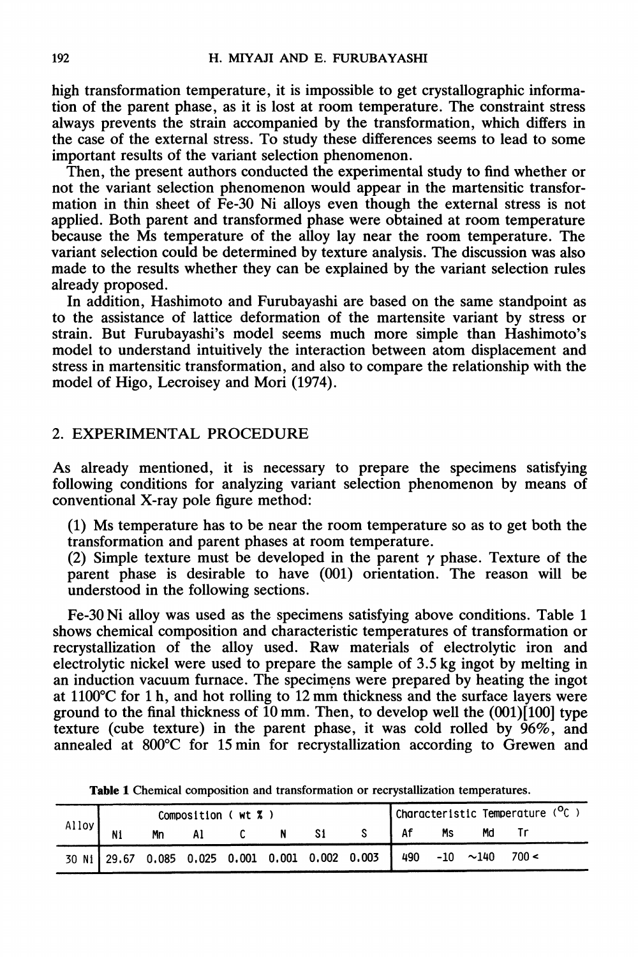high transformation temperature, it is impossible to get crystallographic information of the parent phase, as it is lost at room temperature. The constraint stress always prevents the strain accompanied by the transformation, which differs in the case of the external stress. To study these differences seems to lead to some important results of the variant selection phenomenon.

Then, the present authors conducted the experimental study to find whether or not the variant selection phenomenon would appear in the martensitic transformation in thin sheet of Fe-30 Ni alloys even though the external stress is not applied. Both parent and transformed phase were obtained at room temperature because the Ms temperature of the alloy lay near the room temperature. The variant selection could be determined by texture analysis. The discussion was also made to the results whether they can be explained by the variant selection rules already proposed.

In addition, Hashimoto and Furubayashi are based on the same standpoint as to the assistance of lattice deformation of the martensite variant by stress or strain. But Furubayashi's model seems much more simple than Hashimoto's model to understand intuitively the interaction between atom displacement and stress in martensitic transformation, and also to compare the relationship with the model of Higo, Lecroisey and Mori (1974).

#### 2. EXPERIMENTAL PROCEDURE

As already mentioned, it is necessary to prepare the specimens satisfying following conditions for analyzing variant selection phenomenon by means of conventional X-ray pole figure method:

(1) Ms temperature has to be near the room temperature so as to get both the transformation and parent phases at room temperature.

(2) Simple texture must be developed in the parent  $\gamma$  phase. Texture of the parent phase is desirable to have (001) orientation. The reason will be understood in the following sections.

Fe-30 Ni alloy was used as the specimens satisfying above conditions. Table <sup>1</sup> shows chemical composition and characteristic temperatures of transformation or recrystallization of the alloy used. Raw materials of electrolytic iron and electrolytic nickel were used to prepare the sample of 3.5 kg ingot by melting in an induction vacuum furnace. The specimens were prepared by heating the ingot at 1100°C for 1 h, and hot rolling to 12 mm thickness and the surface layers were ground to the final thickness of 10 mm. Then, to develop well the  $(001)[100]$  type texture (cube texture) in the parent phase, it was cold rolled by 96%, and annealed at 800°C for 15 min for recrystallization according to Grewen and

| Alloy | Composition ( $wt$ $x$ ) |    |    |  |                |    |                                                                    |      | Characteristic Temperature $(^{\circ}C)$ |    |  |  |  |
|-------|--------------------------|----|----|--|----------------|----|--------------------------------------------------------------------|------|------------------------------------------|----|--|--|--|
|       | Ni                       | Mn | Al |  | $\blacksquare$ | S1 |                                                                    | l Af | Ms                                       | Md |  |  |  |
|       |                          |    |    |  |                |    | 30 N1 29.67 0.085 0.025 0.001 0.001 0.002 0.003 490 -10 ~140 700 < |      |                                          |    |  |  |  |

Table 1 Chemical composition and transformation or recrystallization temperatures.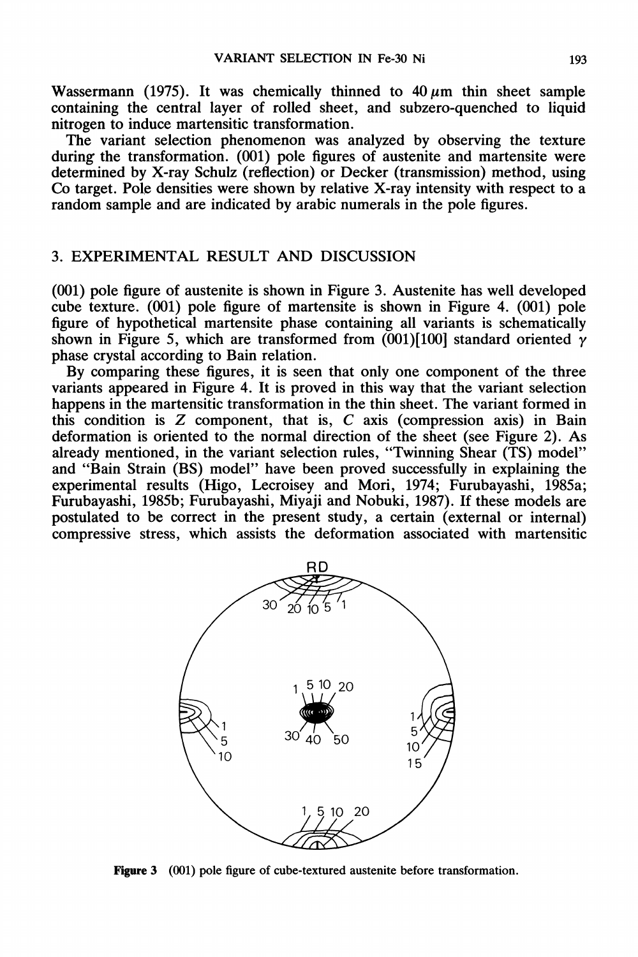Wassermann (1975). It was chemically thinned to  $40 \,\mu m$  thin sheet sample containing the central layer of rolled sheet, and subzero-quenched to liquid nitrogen to induce martensitic transformation.

The variant selection phenomenon was analyzed by observing the texture during the transformation. (001) pole figures of austenite and martensite were determined by X-ray Schulz (reflection) or Decker (transmission) method, using Co target. Pole densities were shown by relative X-ray intensity with respect to a random sample and are indicated by arabic numerals in the pole figures.

### 3. EXPERIMENTAL RESULT AND DISCUSSION

(001) pole figure of austenite is shown in Figure 3. Austenite has well developed cube texture. (001) pole figure of martensite is shown in Figure 4. (001) pole figure of hypothetical martensite phase containing all variants is schematically shown in Figure 5, which are transformed from  $(001)[100]$  standard oriented  $\gamma$ phase crystal according to Bain relation.

By comparing these figures, it is seen that only one component of the three variants appeared in Figure 4. It is proved in this way that the variant selection happens in the martensitic transformation in the thin sheet. The variant formed in this condition is  $Z$  component, that is,  $C$  axis (compression axis) in Bain deformation is oriented to the normal direction of the sheet (see Figure 2). As already mentioned, in the variant selection rules, "Twinning Shear (TS) model" and "Bain Strain (BS) model" have been proved successfully in explaining the experimental results (Higo, Lecroisey and Mori, 1974; Furubayashi, 1985a; Furubayashi, 1985b; Furubayashi, Miyaji and Nobuki, 1987). If these models are postulated to be correct in the present study, a certain (external or internal) compressive stress, which assists the deformation associated with martensitic



Figure 3 (001) pole figure of cube-textured austenite before transformation.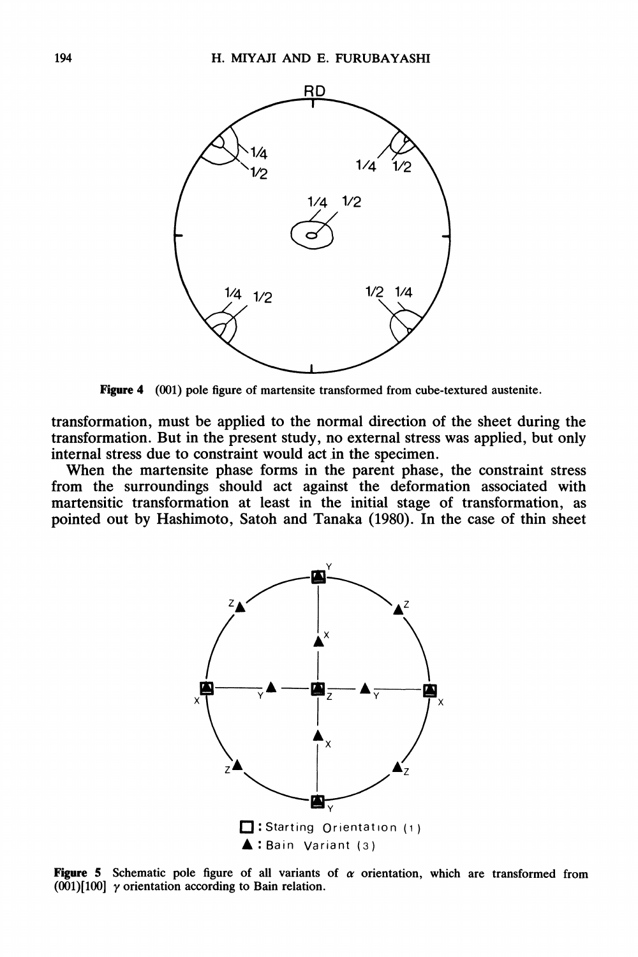

Figure 4 (001) pole figure of martensite transformed from cube-textured austenite.

transformation, must be applied to the normal direction of the sheet during the transformation. But in the present study, no external stress was applied, but only internal stress due to constraint would act in the specimen.

When the martensite phase forms in the parent phase, the constraint stress from the surroundings should act against the deformation associated with martensitic transformation at least in the initial stage of transformation, as pointed out by Hashimoto, Satoh and Tanaka (1980). In the case of thin sheet



Figure 5 Schematic pole figure of all variants of  $\alpha$  orientation, which are transformed from  $(001)[100]$  y orientation according to Bain relation.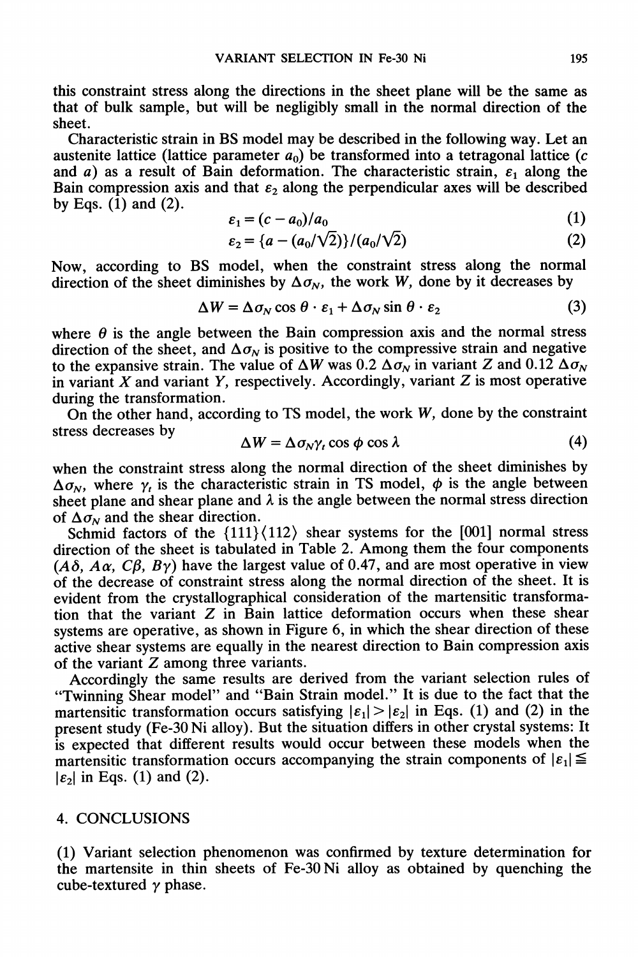this constraint stress along the directions in the sheet plane will be the same as that of bulk sample, but will be negligibly small in the normal direction of the sheet.

Characteristic strain in BS model may be described in the following way. Let an austenite lattice (lattice parameter  $a_0$ ) be transformed into a tetragonal lattice (c and a) as a result of Bain deformation. The characteristic strain,  $\varepsilon_1$  along the Bain compression axis and that  $\varepsilon_2$  along the perpendicular axes will be described by Eqs. (1) and (2).  $\lambda$ 

$$
\varepsilon_1 = (c - a_0)/a_0 \tag{1}
$$

$$
\varepsilon_2 = \{a - (a_0/\sqrt{2})\}/(a_0/\sqrt{2})\tag{2}
$$

Now, according to BS model, when the constraint stress along the normal direction of the sheet diminishes by  $\Delta \sigma_{N}$ , the work W, done by it decreases by

$$
\Delta W = \Delta \sigma_N \cos \theta \cdot \varepsilon_1 + \Delta \sigma_N \sin \theta \cdot \varepsilon_2 \tag{3}
$$

where  $\theta$  is the angle between the Bain compression axis and the normal stress direction of the sheet, and  $\Delta \sigma_N$  is positive to the compressive strain and negative to the expansive strain. The value of  $\Delta W$  was 0.2  $\Delta \sigma_N$  in variant Z and 0.12  $\Delta \sigma_N$ in variant X and variant Y, respectively. Accordingly, variant  $Z$  is most operative during the transformation.

On the other hand, according to TS model, the work  $W$ , done by the constraint stress decreases by

$$
\Delta W = \Delta \sigma_N \gamma_t \cos \phi \cos \lambda \tag{4}
$$

when the constraint stress along the normal direction of the sheet diminishes by  $\Delta \sigma_N$ , where  $\gamma_t$  is the characteristic strain in TS model,  $\phi$  is the angle between sheet plane and shear plane and  $\lambda$  is the angle between the normal stress direction of  $\Delta \sigma_N$  and the shear direction.

Schmid factors of the  ${111}\langle 112 \rangle$  shear systems for the [001] normal stress direction of the sheet is tabulated in Table 2. Among them the four components ( $A\delta$ ,  $A\alpha$ ,  $C\beta$ ,  $B\gamma$ ) have the largest value of 0.47, and are most operative in view of the decrease of constraint stress along the normal direction of the sheet. It is evident from the crystallographical consideration of the martensitic transformation that the variant Z in Bain lattice deformation occurs when these shear systems are operative, as shown in Figure 6, in which the shear direction of these active shear systems are equally in the nearest direction to Bain compression axis of the variant Z among three variants.

Accordingly the same results are derived from the variant selection rules of "Twinning Shear model" and "Bain Strain model." It is due to the fact that the martensitic transformation occurs satisfying  $|\varepsilon_1| > |\varepsilon_2|$  in Eqs. (1) and (2) in the present study (Fe-30 Ni alloy). But the situation differs in other crystal systems: It is expected that different results would occur between these models when the martensitic transformation occurs accompanying the strain components of  $|\varepsilon_1| \leq$  $|\varepsilon_2|$  in Eqs. (1) and (2).

#### 4. CONCLUSIONS

(1) Variant selection phenomenon was confirmed by texture determination for the martensite in thin sheets of Fe-30 Ni alloy as obtained by quenching the cube-textured  $\gamma$  phase.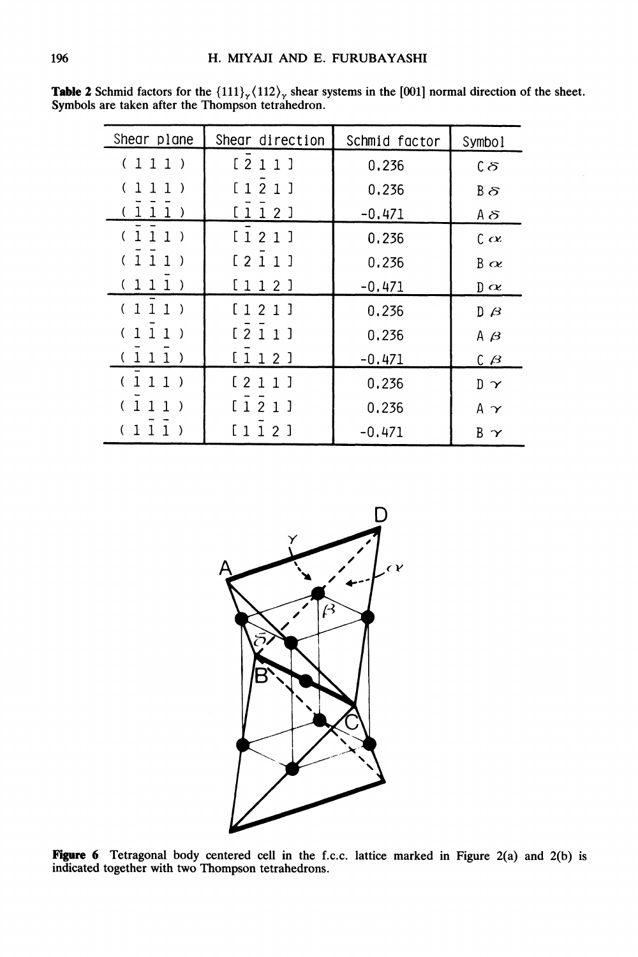| Shear plane                                    | Shear direction | Schmid factor | Symbol               |  |
|------------------------------------------------|-----------------|---------------|----------------------|--|
| 111)                                           | [211]           | 0.236         | $c\delta$            |  |
| $\mathbf{1}$<br>1<br>$\mathbf{1}$<br>$\lambda$ | [121]           | 0.236         | Bδ                   |  |
| 1<br>1.<br>-)                                  | 12<br>1         | $-0.471$      | Aδ                   |  |
| $\mathbf{1}$<br>$\mathbf{1}$<br>$1$ )          | [121]           | 0.236         | $\alpha$             |  |
| 1 <sub>1</sub><br>-1                           | [211]           | 0.236         | B $\alpha$           |  |
| $\mathbf{1}$<br>-1                             | [112]           | $-0.471$      | $\mathbb{D} \propto$ |  |
| (1)<br>$\mathbf{1}$<br>1)                      | [121]           | 0.236         | $D \beta$            |  |
| (11<br>1<br>$\rightarrow$                      | [211]           | 0.236         | Aβ                   |  |
| (111                                           | [112]           | $-0.471$      | $C$ $\beta$          |  |
| 1<br>1                                         | [211]           | 0.236         | $D \propto$          |  |
| 1<br>1                                         | [121]           | 0.236         | Aγ                   |  |
|                                                | 112]            | $-0.471$      | Βγ                   |  |

**Table 2** Schmid factors for the  $\{111\}_{\gamma}$ ,  $\{112\}_{\gamma}$  shear systems in the [001] normal direction of the sheet. Symbols are taken after the Thompson tetrahedron.



**Figure 6** Tetragonal body centered cell in the f.c.c. lattice marked in Figure  $2(a)$  and  $2(b)$  is indicated together with two Thompson tetrahedrons.